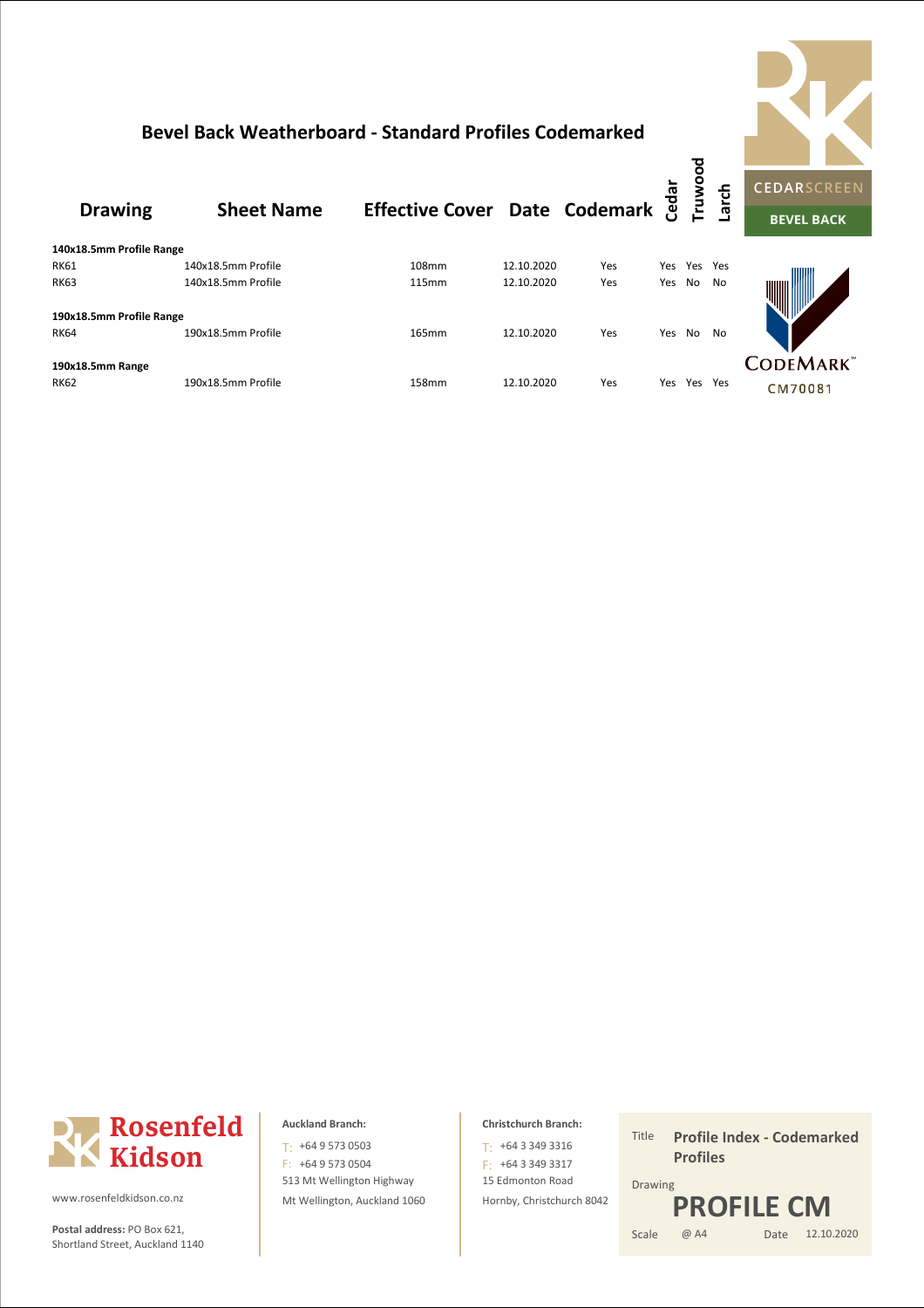## **Bevel Back Weatherboard - Standard Profiles Codemarked**



|                          | <b>Sheet Name</b>  | Effective Cover Date Codemark a |            |     |     | o<br>o<br><b>Truw</b> | arcl |           |
|--------------------------|--------------------|---------------------------------|------------|-----|-----|-----------------------|------|-----------|
| <b>Drawing</b>           |                    |                                 |            |     |     |                       |      | <b>CE</b> |
|                          |                    |                                 |            |     |     |                       |      |           |
| 140x18.5mm Profile Range |                    |                                 |            |     |     |                       |      |           |
| <b>RK61</b>              | 140x18.5mm Profile | 108mm                           | 12.10.2020 | Yes | Yes | Yes                   | Yes  |           |
| <b>RK63</b>              | 140x18.5mm Profile | 115mm                           | 12.10.2020 | Yes | Yes | No                    | No   | ₩         |
| 190x18.5mm Profile Range |                    |                                 |            |     |     |                       |      |           |
| <b>RK64</b>              | 190x18.5mm Profile | 165mm                           | 12.10.2020 | Yes | Yes | No.                   | No   |           |
| 190x18.5mm Range         |                    |                                 |            |     |     |                       |      | CО        |
| <b>RK62</b>              | 190x18.5mm Profile | 158mm                           | 12.10.2020 | Yes | Yes | Yes                   | Yes  |           |





www.rosenfeldkidson.co.nz

**Postal address:** PO Box 621, Scale Shortland Street, Auckland 1140

513 Mt Wellington Highway Mt Wellington, Auckland 1060 T: +64 9 573 0503 F: +64 9 573 0504

## **Christchurch Branch:**

15 Edmonton Road Hornby, Christchurch 8042  $T: +6433493316$ F: +64 3 349 3317

Title Date 12.10.2020 Drawing @ A4 **Profile Index - Codemarked Profiles PROFILE CM**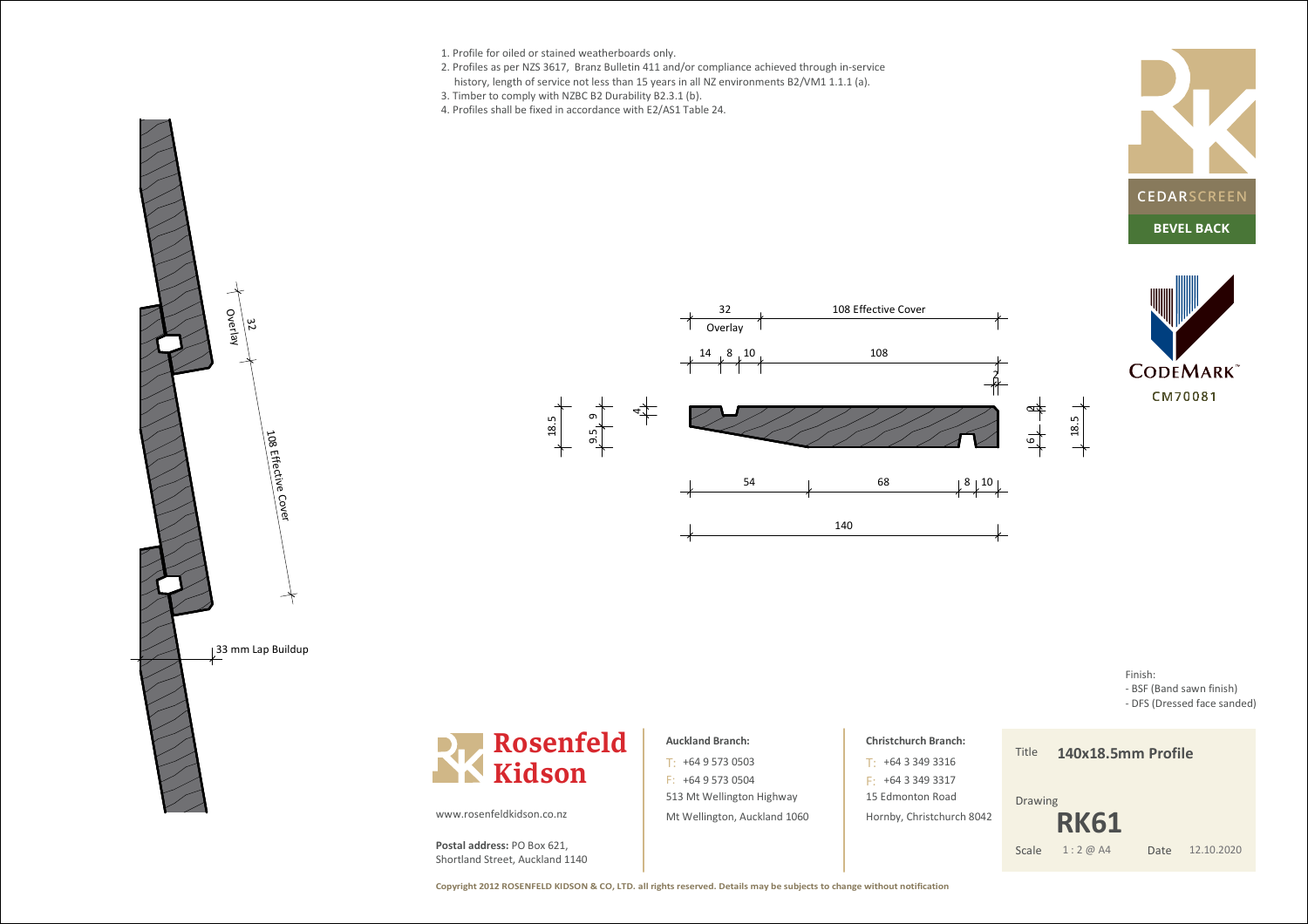- 1. Profile for oiled or stained weatherboards only.
- 2. Profiles as per NZS 3617, Branz Bulletin 411 and/or compliance achieved through in-service
- history, length of service not less than 15 years in all NZ environments B2/VM1 1.1.1 (a).
- 3. Timber to comply with NZBC B2 Durability B2.3.1 (b).
- 4. Profiles shall be fixed in accordance with E2/AS1 Table 24.



**CODEMARK** CM70081







### **Auckland Branch:**

513 Mt Wellington Highway Mt Wellington, Auckland 1060 $T: +6495730503$  $F: +6495730504$ 

## **Christchurch Branch:**+64 3 349 3316T:

15 Edmonton Road Hornby, Christchurch 8042 $F: +6433493317$ 

# **140x18.5mm Profile**

Finish:

 - BSF (Band sawn finish) - DFS (Dressed face sanded)

Drawing

Title

Date 12.10.2020 **RK61**Scale 1:2 @ A4

www.rosenfeldkidson.co.nz

**Postal address:** PO Box 621, Shortland Street, Auckland 1140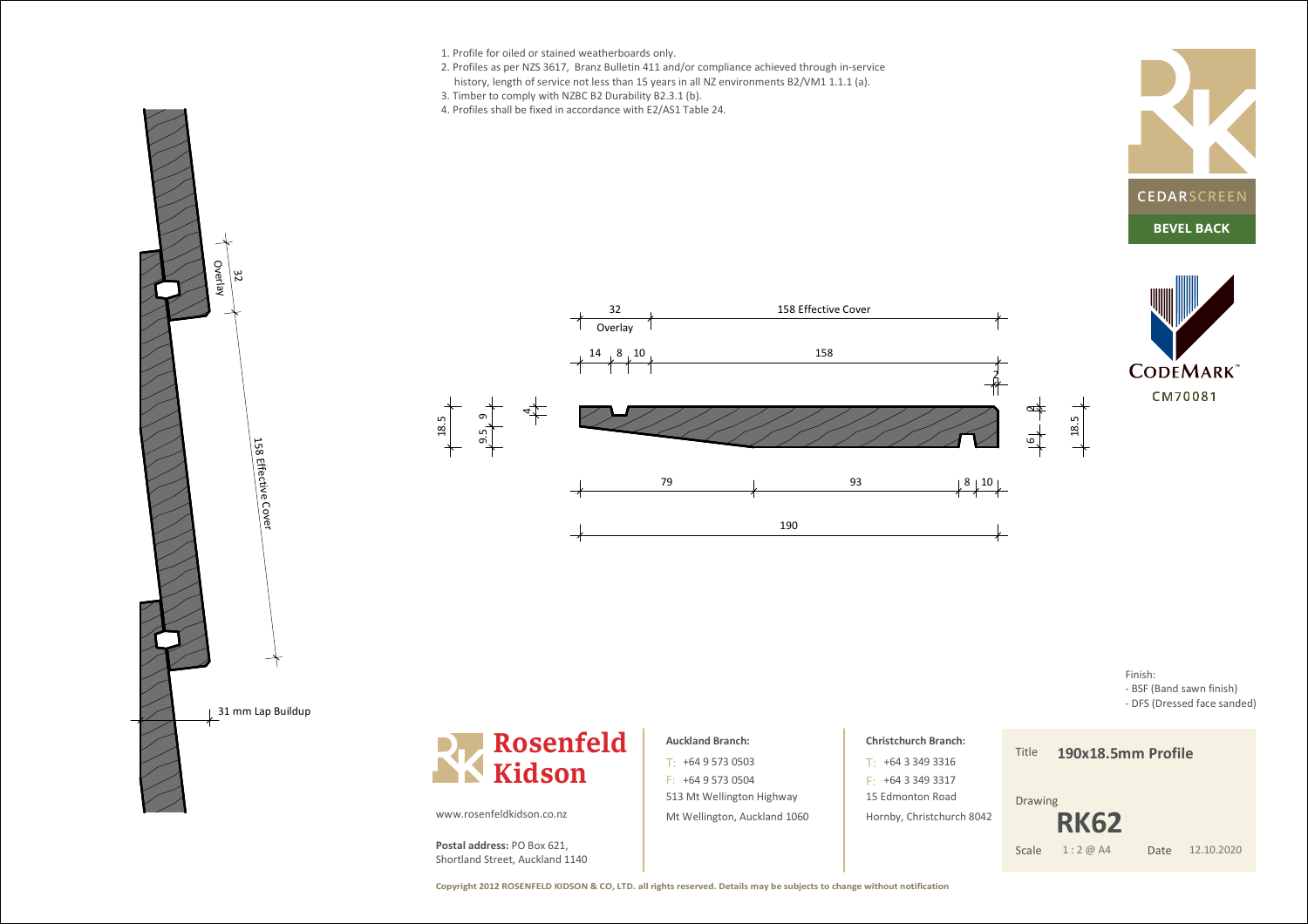

**Copyright 2012 ROSENFELD KIDSON & CO, LTD. all rights reserved. Details may be subjects to change without notification**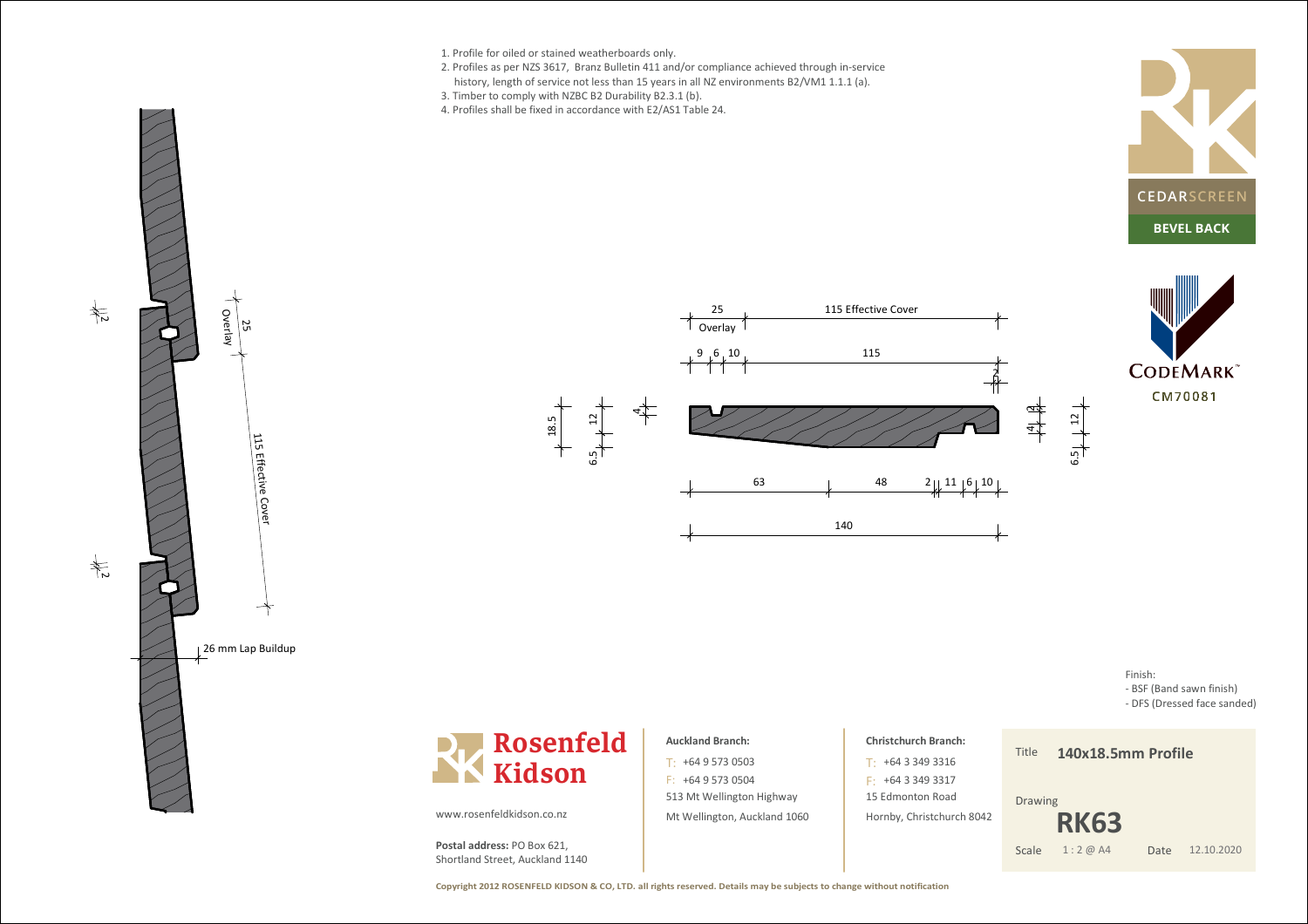- 1. Profile for oiled or stained weatherboards only.
- 2. Profiles as per NZS 3617, Branz Bulletin 411 and/or compliance achieved through in-service
- history, length of service not less than 15 years in all NZ environments B2/VM1 1.1.1 (a).
- 3. Timber to comply with NZBC B2 Durability B2.3.1 (b).
- 4. Profiles shall be fixed in accordance with E2/AS1 Table 24.









Finish: - BSF (Band sawn finish) - DFS (Dressed face sanded)



### **Auckland Branch:**

513 Mt Wellington Highway Mt Wellington, Auckland 1060 $T: +6495730503$  $F: +6495730504$ 

## **Christchurch Branch:**+64 3 349 3316T: $F: +6433493317$

15 Edmonton Road Hornby, Christchurch 8042

#### Title**140x18.5mm Profile**

Drawing

Date 12.10.2020 **RK63**Scale 1:2 @ A4

**Copyright 2012 ROSENFELD KIDSON & CO, LTD. all rights reserved. Details may be subjects to change without notification**

www.rosenfeldkidson.co.nz

**Postal address:** PO Box 621, Shortland Street, Auckland 1140